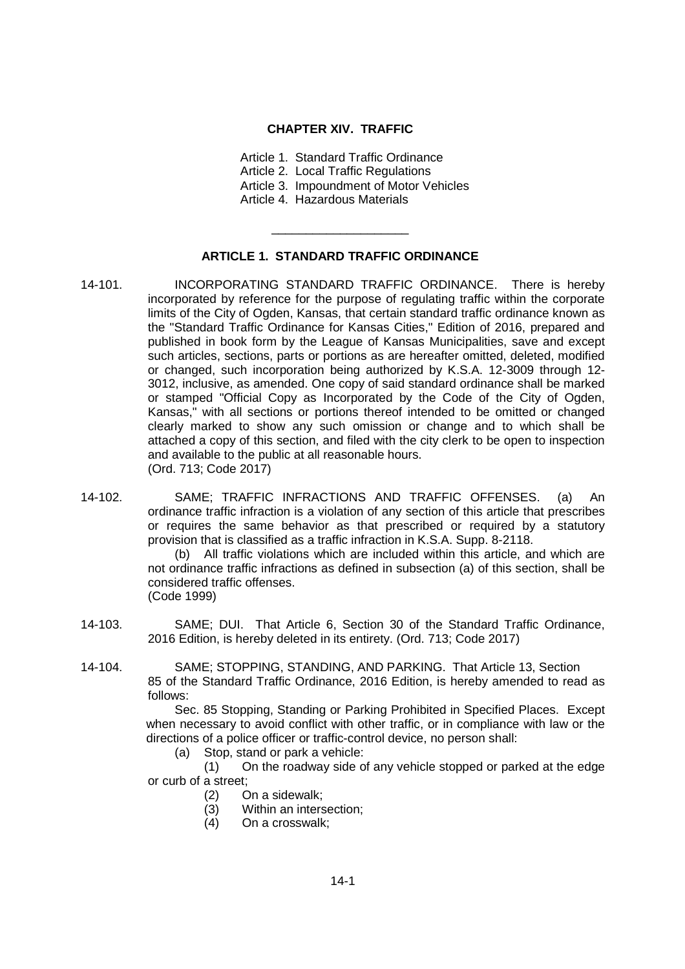### **CHAPTER XIV. TRAFFIC**

- Article 1. Standard Traffic Ordinance Article 2. Local Traffic Regulations
- Article 3. Impoundment of Motor Vehicles
- Article 4. Hazardous Materials

# **ARTICLE 1. STANDARD TRAFFIC ORDINANCE**

\_\_\_\_\_\_\_\_\_\_\_\_\_\_\_\_\_\_\_\_

- 14-101. INCORPORATING STANDARD TRAFFIC ORDINANCE. There is hereby incorporated by reference for the purpose of regulating traffic within the corporate limits of the City of Ogden, Kansas, that certain standard traffic ordinance known as the "Standard Traffic Ordinance for Kansas Cities," Edition of 2016, prepared and published in book form by the League of Kansas Municipalities, save and except such articles, sections, parts or portions as are hereafter omitted, deleted, modified or changed, such incorporation being authorized by K.S.A. 12-3009 through 12- 3012, inclusive, as amended. One copy of said standard ordinance shall be marked or stamped "Official Copy as Incorporated by the Code of the City of Ogden, Kansas," with all sections or portions thereof intended to be omitted or changed clearly marked to show any such omission or change and to which shall be attached a copy of this section, and filed with the city clerk to be open to inspection and available to the public at all reasonable hours. (Ord. 713; Code 2017)
- 14-102. SAME; TRAFFIC INFRACTIONS AND TRAFFIC OFFENSES. (a) An ordinance traffic infraction is a violation of any section of this article that prescribes or requires the same behavior as that prescribed or required by a statutory provision that is classified as a traffic infraction in K.S.A. Supp. 8-2118.

(b) All traffic violations which are included within this article, and which are not ordinance traffic infractions as defined in subsection (a) of this section, shall be considered traffic offenses. (Code 1999)

- 14-103. SAME; DUI. That Article 6, Section 30 of the Standard Traffic Ordinance, 2016 Edition, is hereby deleted in its entirety. (Ord. 713; Code 2017)
- 14-104. SAME; STOPPING, STANDING, AND PARKING. That Article 13, Section 85 of the Standard Traffic Ordinance, 2016 Edition, is hereby amended to read as follows:

Sec. 85 Stopping, Standing or Parking Prohibited in Specified Places. Except when necessary to avoid conflict with other traffic, or in compliance with law or the directions of a police officer or traffic-control device, no person shall:

(a) Stop, stand or park a vehicle:

(1) On the roadway side of any vehicle stopped or parked at the edge or curb of a street;

- (2) On a sidewalk;
- (3) Within an intersection;
- (4) On a crosswalk;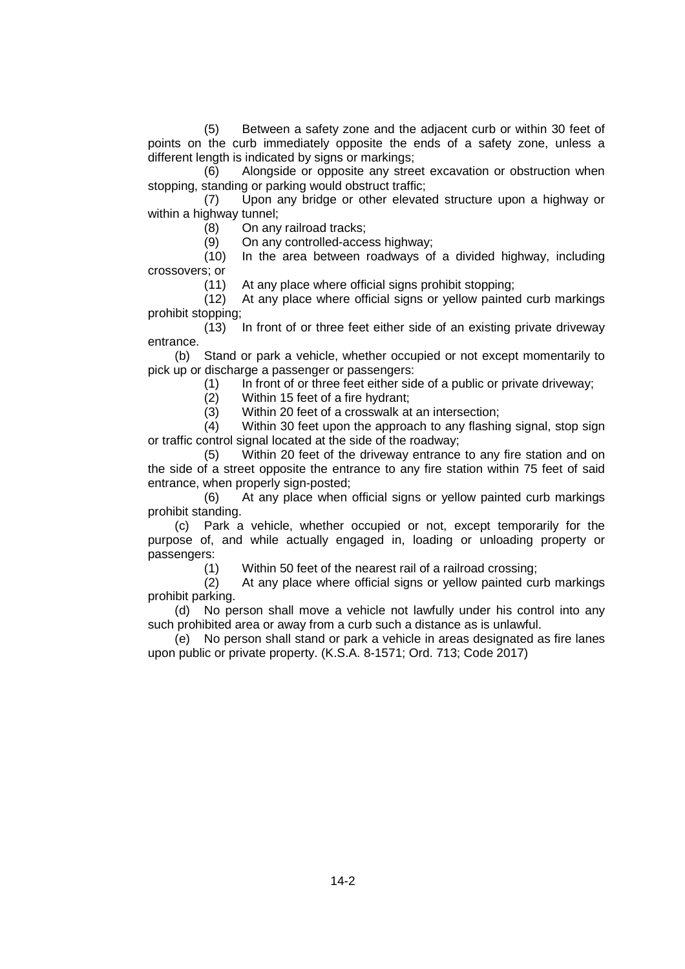(5) Between a safety zone and the adjacent curb or within 30 feet of points on the curb immediately opposite the ends of a safety zone, unless a different length is indicated by signs or markings;

(6) Alongside or opposite any street excavation or obstruction when stopping, standing or parking would obstruct traffic;

(7) Upon any bridge or other elevated structure upon a highway or within a highway tunnel;

(8) On any railroad tracks;

(9) On any controlled-access highway;

(10) In the area between roadways of a divided highway, including crossovers; or

(11) At any place where official signs prohibit stopping;

(12) At any place where official signs or yellow painted curb markings prohibit stopping;

(13) In front of or three feet either side of an existing private driveway entrance.

(b) Stand or park a vehicle, whether occupied or not except momentarily to pick up or discharge a passenger or passengers:

(1) In front of or three feet either side of a public or private driveway;

(2) Within 15 feet of a fire hydrant;

(3) Within 20 feet of a crosswalk at an intersection;

(4) Within 30 feet upon the approach to any flashing signal, stop sign or traffic control signal located at the side of the roadway;

(5) Within 20 feet of the driveway entrance to any fire station and on the side of a street opposite the entrance to any fire station within 75 feet of said entrance, when properly sign-posted;

(6) At any place when official signs or yellow painted curb markings prohibit standing.

(c) Park a vehicle, whether occupied or not, except temporarily for the purpose of, and while actually engaged in, loading or unloading property or passengers:

(1) Within 50 feet of the nearest rail of a railroad crossing;

(2) At any place where official signs or yellow painted curb markings prohibit parking.

(d) No person shall move a vehicle not lawfully under his control into any such prohibited area or away from a curb such a distance as is unlawful.

(e) No person shall stand or park a vehicle in areas designated as fire lanes upon public or private property. (K.S.A. 8-1571; Ord. 713; Code 2017)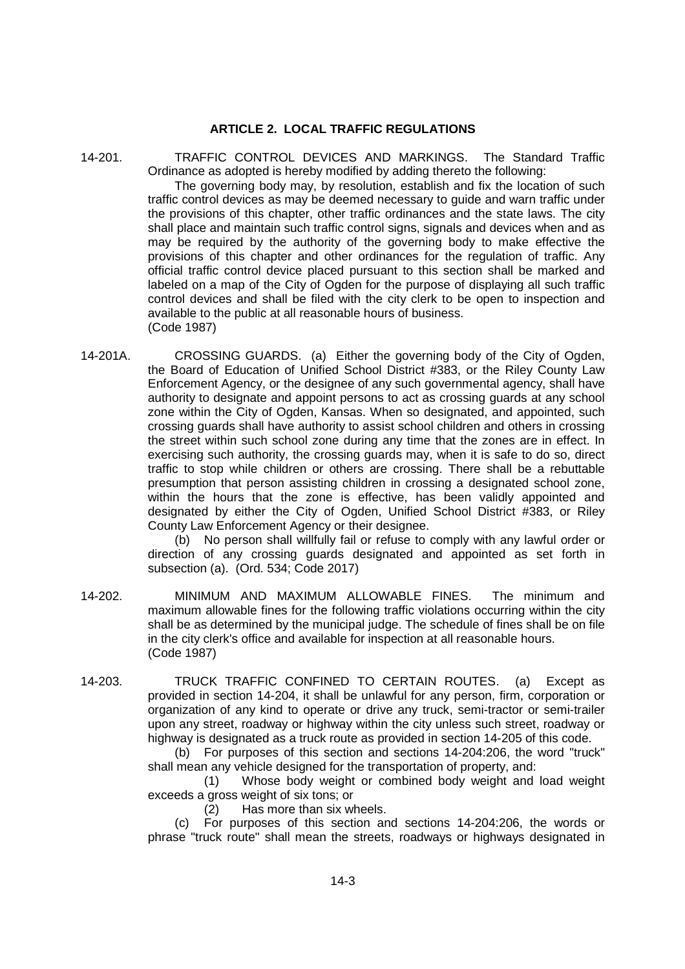## **ARTICLE 2. LOCAL TRAFFIC REGULATIONS**

14-201. TRAFFIC CONTROL DEVICES AND MARKINGS. The Standard Traffic Ordinance as adopted is hereby modified by adding thereto the following:

The governing body may, by resolution, establish and fix the location of such traffic control devices as may be deemed necessary to guide and warn traffic under the provisions of this chapter, other traffic ordinances and the state laws. The city shall place and maintain such traffic control signs, signals and devices when and as may be required by the authority of the governing body to make effective the provisions of this chapter and other ordinances for the regulation of traffic. Any official traffic control device placed pursuant to this section shall be marked and labeled on a map of the City of Ogden for the purpose of displaying all such traffic control devices and shall be filed with the city clerk to be open to inspection and available to the public at all reasonable hours of business. (Code 1987)

14-201A. CROSSING GUARDS. (a) Either the governing body of the City of Ogden, the Board of Education of Unified School District #383, or the Riley County Law Enforcement Agency, or the designee of any such governmental agency, shall have authority to designate and appoint persons to act as crossing guards at any school zone within the City of Ogden, Kansas. When so designated, and appointed, such crossing guards shall have authority to assist school children and others in crossing the street within such school zone during any time that the zones are in effect. In exercising such authority, the crossing guards may, when it is safe to do so, direct traffic to stop while children or others are crossing. There shall be a rebuttable presumption that person assisting children in crossing a designated school zone, within the hours that the zone is effective, has been validly appointed and designated by either the City of Ogden, Unified School District #383, or Riley County Law Enforcement Agency or their designee.

(b) No person shall willfully fail or refuse to comply with any lawful order or direction of any crossing guards designated and appointed as set forth in subsection (a). (Ord. 534; Code 2017)

- 14-202. MINIMUM AND MAXIMUM ALLOWABLE FINES. The minimum and maximum allowable fines for the following traffic violations occurring within the city shall be as determined by the municipal judge. The schedule of fines shall be on file in the city clerk's office and available for inspection at all reasonable hours. (Code 1987)
- 14-203. TRUCK TRAFFIC CONFINED TO CERTAIN ROUTES. (a) Except as provided in section 14-204, it shall be unlawful for any person, firm, corporation or organization of any kind to operate or drive any truck, semi-tractor or semi-trailer upon any street, roadway or highway within the city unless such street, roadway or highway is designated as a truck route as provided in section 14-205 of this code.

(b) For purposes of this section and sections 14-204:206, the word "truck" shall mean any vehicle designed for the transportation of property, and:

(1) Whose body weight or combined body weight and load weight exceeds a gross weight of six tons; or

(2) Has more than six wheels.

(c) For purposes of this section and sections 14-204:206, the words or phrase "truck route" shall mean the streets, roadways or highways designated in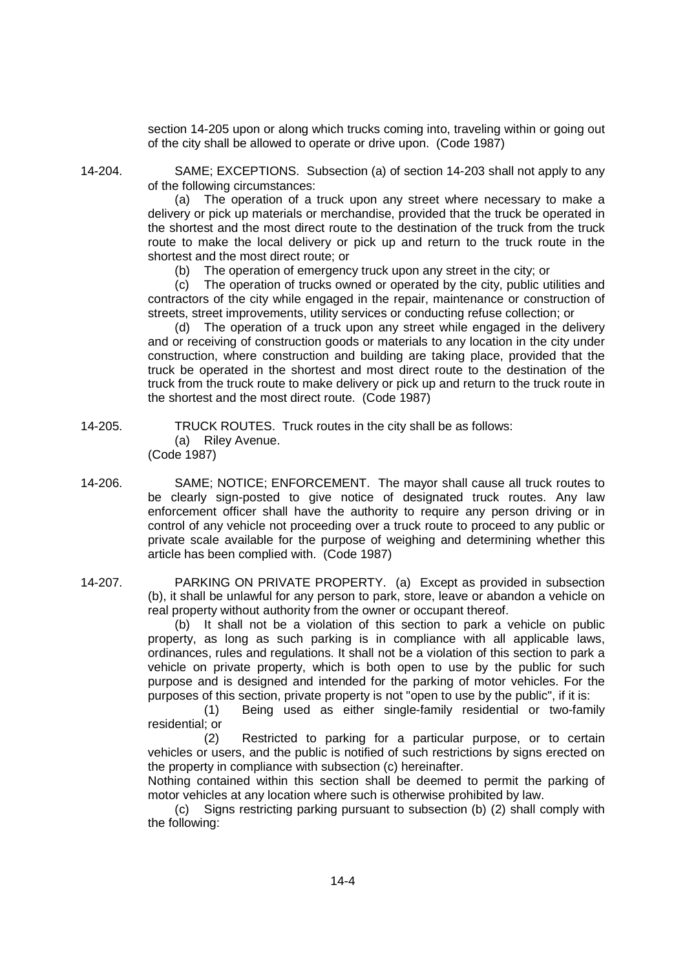section 14-205 upon or along which trucks coming into, traveling within or going out of the city shall be allowed to operate or drive upon. (Code 1987)

14-204. SAME; EXCEPTIONS. Subsection (a) of section 14-203 shall not apply to any of the following circumstances:

> (a) The operation of a truck upon any street where necessary to make a delivery or pick up materials or merchandise, provided that the truck be operated in the shortest and the most direct route to the destination of the truck from the truck route to make the local delivery or pick up and return to the truck route in the shortest and the most direct route; or

(b) The operation of emergency truck upon any street in the city; or

(c) The operation of trucks owned or operated by the city, public utilities and contractors of the city while engaged in the repair, maintenance or construction of streets, street improvements, utility services or conducting refuse collection; or

(d) The operation of a truck upon any street while engaged in the delivery and or receiving of construction goods or materials to any location in the city under construction, where construction and building are taking place, provided that the truck be operated in the shortest and most direct route to the destination of the truck from the truck route to make delivery or pick up and return to the truck route in the shortest and the most direct route. (Code 1987)

14-205. TRUCK ROUTES. Truck routes in the city shall be as follows: (a) Riley Avenue. (Code 1987)

14-206. SAME; NOTICE; ENFORCEMENT. The mayor shall cause all truck routes to be clearly sign-posted to give notice of designated truck routes. Any law enforcement officer shall have the authority to require any person driving or in control of any vehicle not proceeding over a truck route to proceed to any public or private scale available for the purpose of weighing and determining whether this article has been complied with. (Code 1987)

14-207. PARKING ON PRIVATE PROPERTY. (a) Except as provided in subsection (b), it shall be unlawful for any person to park, store, leave or abandon a vehicle on real property without authority from the owner or occupant thereof.

> (b) It shall not be a violation of this section to park a vehicle on public property, as long as such parking is in compliance with all applicable laws, ordinances, rules and regulations. It shall not be a violation of this section to park a vehicle on private property, which is both open to use by the public for such purpose and is designed and intended for the parking of motor vehicles. For the purposes of this section, private property is not "open to use by the public", if it is:

> (1) Being used as either single-family residential or two-family residential; or

> (2) Restricted to parking for a particular purpose, or to certain vehicles or users, and the public is notified of such restrictions by signs erected on the property in compliance with subsection (c) hereinafter.

> Nothing contained within this section shall be deemed to permit the parking of motor vehicles at any location where such is otherwise prohibited by law.

> (c) Signs restricting parking pursuant to subsection (b) (2) shall comply with the following: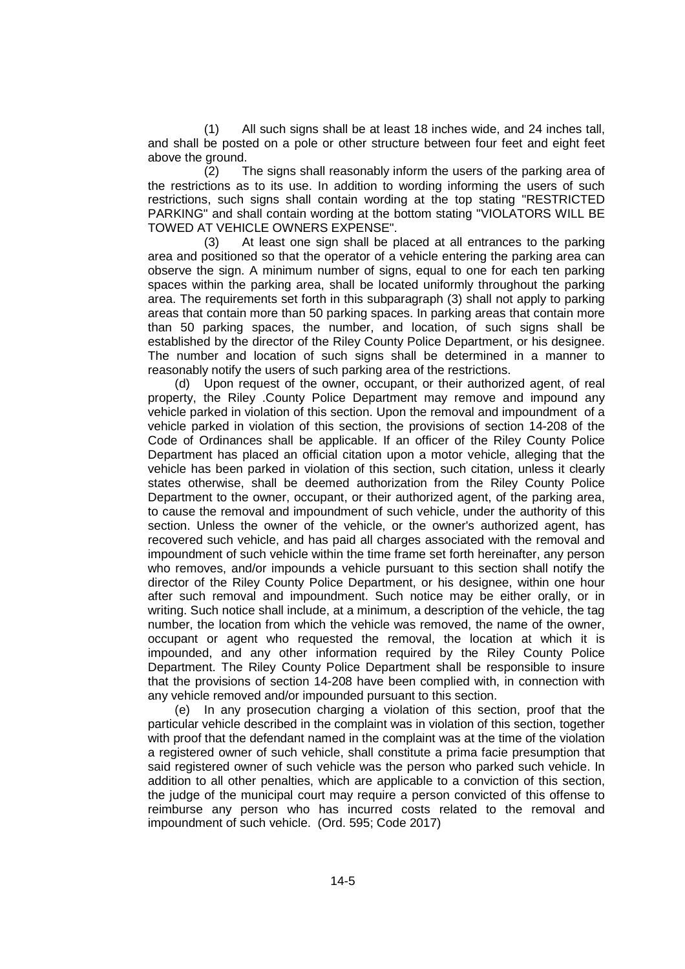(1) All such signs shall be at least 18 inches wide, and 24 inches tall, and shall be posted on a pole or other structure between four feet and eight feet above the ground.

(2) The signs shall reasonably inform the users of the parking area of the restrictions as to its use. In addition to wording informing the users of such restrictions, such signs shall contain wording at the top stating "RESTRICTED PARKING" and shall contain wording at the bottom stating "VIOLATORS WILL BE TOWED AT VEHICLE OWNERS EXPENSE".

(3) At least one sign shall be placed at all entrances to the parking area and positioned so that the operator of a vehicle entering the parking area can observe the sign. A minimum number of signs, equal to one for each ten parking spaces within the parking area, shall be located uniformly throughout the parking area. The requirements set forth in this subparagraph (3) shall not apply to parking areas that contain more than 50 parking spaces. In parking areas that contain more than 50 parking spaces, the number, and location, of such signs shall be established by the director of the Riley County Police Department, or his designee. The number and location of such signs shall be determined in a manner to reasonably notify the users of such parking area of the restrictions.

(d) Upon request of the owner, occupant, or their authorized agent, of real property, the Riley .County Police Department may remove and impound any vehicle parked in violation of this section. Upon the removal and impoundment of a vehicle parked in violation of this section, the provisions of section 14-208 of the Code of Ordinances shall be applicable. If an officer of the Riley County Police Department has placed an official citation upon a motor vehicle, alleging that the vehicle has been parked in violation of this section, such citation, unless it clearly states otherwise, shall be deemed authorization from the Riley County Police Department to the owner, occupant, or their authorized agent, of the parking area, to cause the removal and impoundment of such vehicle, under the authority of this section. Unless the owner of the vehicle, or the owner's authorized agent, has recovered such vehicle, and has paid all charges associated with the removal and impoundment of such vehicle within the time frame set forth hereinafter, any person who removes, and/or impounds a vehicle pursuant to this section shall notify the director of the Riley County Police Department, or his designee, within one hour after such removal and impoundment. Such notice may be either orally, or in writing. Such notice shall include, at a minimum, a description of the vehicle, the tag number, the location from which the vehicle was removed, the name of the owner, occupant or agent who requested the removal, the location at which it is impounded, and any other information required by the Riley County Police Department. The Riley County Police Department shall be responsible to insure that the provisions of section 14-208 have been complied with, in connection with any vehicle removed and/or impounded pursuant to this section.

(e) In any prosecution charging a violation of this section, proof that the particular vehicle described in the complaint was in violation of this section, together with proof that the defendant named in the complaint was at the time of the violation a registered owner of such vehicle, shall constitute a prima facie presumption that said registered owner of such vehicle was the person who parked such vehicle. In addition to all other penalties, which are applicable to a conviction of this section, the judge of the municipal court may require a person convicted of this offense to reimburse any person who has incurred costs related to the removal and impoundment of such vehicle. (Ord. 595; Code 2017)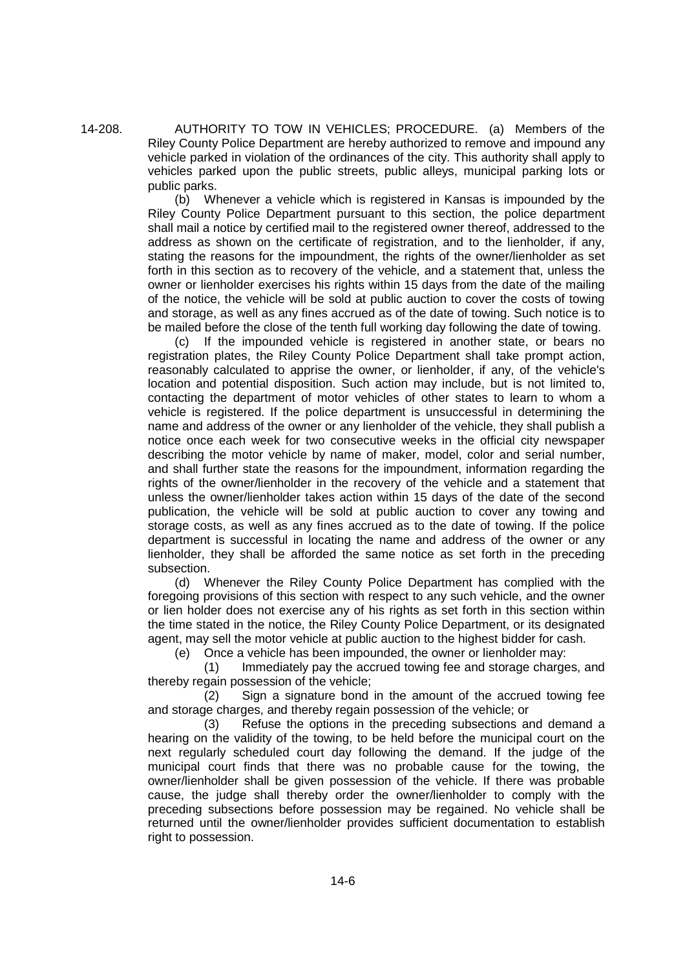14-208. AUTHORITY TO TOW IN VEHICLES; PROCEDURE. (a) Members of the Riley County Police Department are hereby authorized to remove and impound any vehicle parked in violation of the ordinances of the city. This authority shall apply to vehicles parked upon the public streets, public alleys, municipal parking lots or public parks.

> (b) Whenever a vehicle which is registered in Kansas is impounded by the Riley County Police Department pursuant to this section, the police department shall mail a notice by certified mail to the registered owner thereof, addressed to the address as shown on the certificate of registration, and to the lienholder, if any, stating the reasons for the impoundment, the rights of the owner/lienholder as set forth in this section as to recovery of the vehicle, and a statement that, unless the owner or lienholder exercises his rights within 15 days from the date of the mailing of the notice, the vehicle will be sold at public auction to cover the costs of towing and storage, as well as any fines accrued as of the date of towing. Such notice is to be mailed before the close of the tenth full working day following the date of towing.

> (c) If the impounded vehicle is registered in another state, or bears no registration plates, the Riley County Police Department shall take prompt action, reasonably calculated to apprise the owner, or lienholder, if any, of the vehicle's location and potential disposition. Such action may include, but is not limited to, contacting the department of motor vehicles of other states to learn to whom a vehicle is registered. If the police department is unsuccessful in determining the name and address of the owner or any lienholder of the vehicle, they shall publish a notice once each week for two consecutive weeks in the official city newspaper describing the motor vehicle by name of maker, model, color and serial number, and shall further state the reasons for the impoundment, information regarding the rights of the owner/lienholder in the recovery of the vehicle and a statement that unless the owner/lienholder takes action within 15 days of the date of the second publication, the vehicle will be sold at public auction to cover any towing and storage costs, as well as any fines accrued as to the date of towing. If the police department is successful in locating the name and address of the owner or any lienholder, they shall be afforded the same notice as set forth in the preceding subsection.

> (d) Whenever the Riley County Police Department has complied with the foregoing provisions of this section with respect to any such vehicle, and the owner or lien holder does not exercise any of his rights as set forth in this section within the time stated in the notice, the Riley County Police Department, or its designated agent, may sell the motor vehicle at public auction to the highest bidder for cash.

(e) Once a vehicle has been impounded, the owner or lienholder may:

(1) Immediately pay the accrued towing fee and storage charges, and thereby regain possession of the vehicle;

(2) Sign a signature bond in the amount of the accrued towing fee and storage charges, and thereby regain possession of the vehicle; or

(3) Refuse the options in the preceding subsections and demand a hearing on the validity of the towing, to be held before the municipal court on the next regularly scheduled court day following the demand. If the judge of the municipal court finds that there was no probable cause for the towing, the owner/lienholder shall be given possession of the vehicle. If there was probable cause, the judge shall thereby order the owner/lienholder to comply with the preceding subsections before possession may be regained. No vehicle shall be returned until the owner/lienholder provides sufficient documentation to establish right to possession.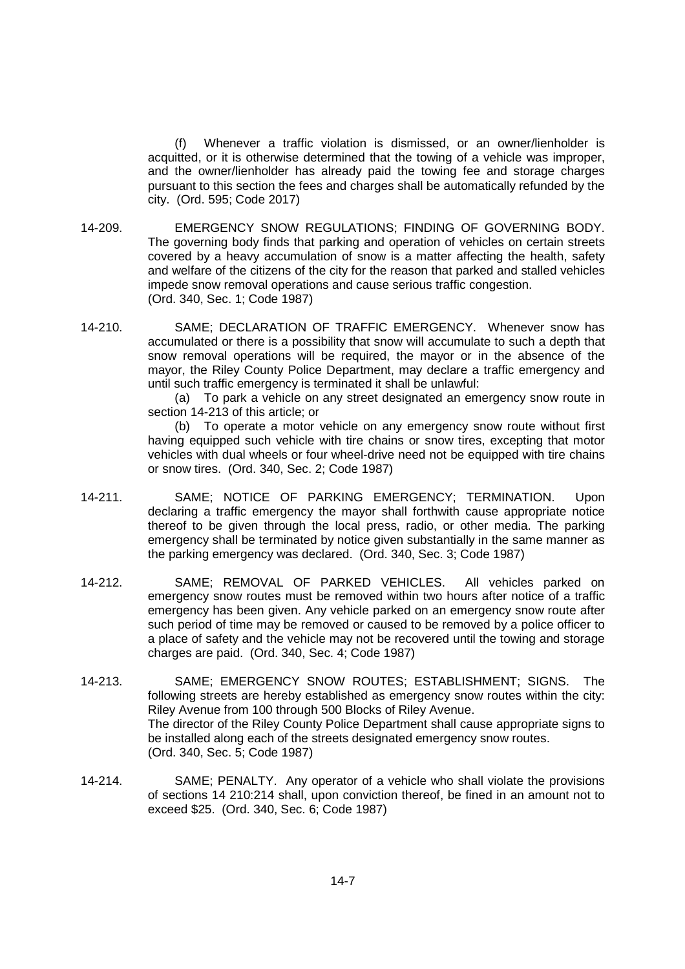(f) Whenever a traffic violation is dismissed, or an owner/lienholder is acquitted, or it is otherwise determined that the towing of a vehicle was improper, and the owner/lienholder has already paid the towing fee and storage charges pursuant to this section the fees and charges shall be automatically refunded by the city. (Ord. 595; Code 2017)

- 14-209. EMERGENCY SNOW REGULATIONS; FINDING OF GOVERNING BODY. The governing body finds that parking and operation of vehicles on certain streets covered by a heavy accumulation of snow is a matter affecting the health, safety and welfare of the citizens of the city for the reason that parked and stalled vehicles impede snow removal operations and cause serious traffic congestion. (Ord. 340, Sec. 1; Code 1987)
- 14-210. SAME; DECLARATION OF TRAFFIC EMERGENCY. Whenever snow has accumulated or there is a possibility that snow will accumulate to such a depth that snow removal operations will be required, the mayor or in the absence of the mayor, the Riley County Police Department, may declare a traffic emergency and until such traffic emergency is terminated it shall be unlawful:

(a) To park a vehicle on any street designated an emergency snow route in section 14-213 of this article; or

(b) To operate a motor vehicle on any emergency snow route without first having equipped such vehicle with tire chains or snow tires, excepting that motor vehicles with dual wheels or four wheel-drive need not be equipped with tire chains or snow tires. (Ord. 340, Sec. 2; Code 1987)

- 14-211. SAME; NOTICE OF PARKING EMERGENCY; TERMINATION. Upon declaring a traffic emergency the mayor shall forthwith cause appropriate notice thereof to be given through the local press, radio, or other media. The parking emergency shall be terminated by notice given substantially in the same manner as the parking emergency was declared. (Ord. 340, Sec. 3; Code 1987)
- 14-212. SAME; REMOVAL OF PARKED VEHICLES. All vehicles parked on emergency snow routes must be removed within two hours after notice of a traffic emergency has been given. Any vehicle parked on an emergency snow route after such period of time may be removed or caused to be removed by a police officer to a place of safety and the vehicle may not be recovered until the towing and storage charges are paid. (Ord. 340, Sec. 4; Code 1987)
- 14-213. SAME; EMERGENCY SNOW ROUTES; ESTABLISHMENT; SIGNS. The following streets are hereby established as emergency snow routes within the city: Riley Avenue from 100 through 500 Blocks of Riley Avenue. The director of the Riley County Police Department shall cause appropriate signs to be installed along each of the streets designated emergency snow routes. (Ord. 340, Sec. 5; Code 1987)
- 14-214. SAME; PENALTY. Any operator of a vehicle who shall violate the provisions of sections 14 210:214 shall, upon conviction thereof, be fined in an amount not to exceed \$25. (Ord. 340, Sec. 6; Code 1987)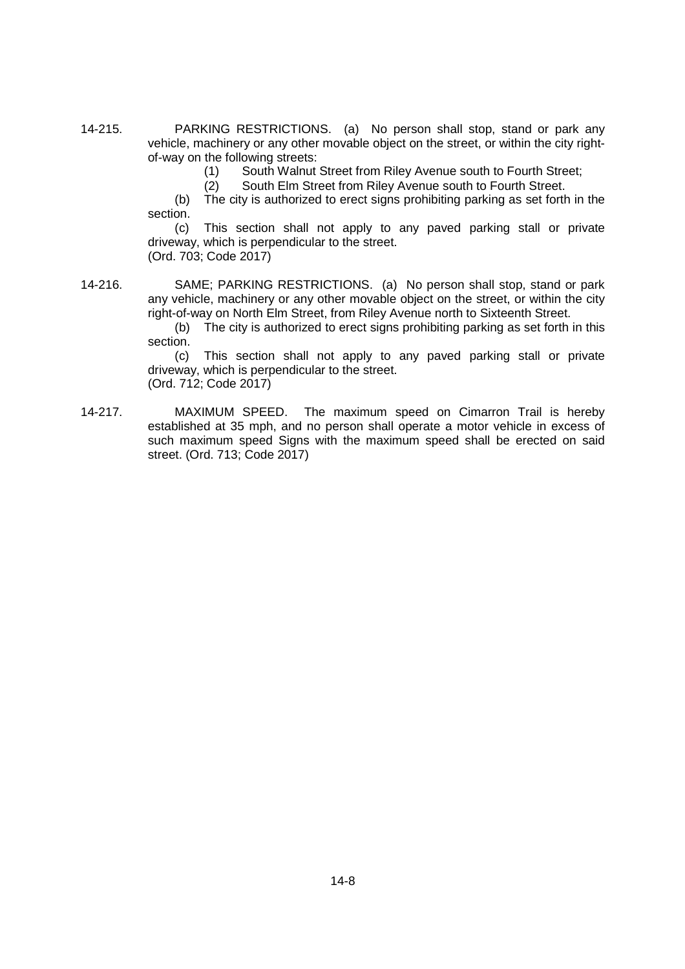14-215. PARKING RESTRICTIONS. (a) No person shall stop, stand or park any vehicle, machinery or any other movable object on the street, or within the city rightof-way on the following streets:

(1) South Walnut Street from Riley Avenue south to Fourth Street;

(2) South Elm Street from Riley Avenue south to Fourth Street.

(b) The city is authorized to erect signs prohibiting parking as set forth in the section.

(c) This section shall not apply to any paved parking stall or private driveway, which is perpendicular to the street. (Ord. 703; Code 2017)

14-216. SAME; PARKING RESTRICTIONS. (a) No person shall stop, stand or park any vehicle, machinery or any other movable object on the street, or within the city right-of-way on North Elm Street, from Riley Avenue north to Sixteenth Street.

(b) The city is authorized to erect signs prohibiting parking as set forth in this section.

(c) This section shall not apply to any paved parking stall or private driveway, which is perpendicular to the street. (Ord. 712; Code 2017)

14-217. MAXIMUM SPEED. The maximum speed on Cimarron Trail is hereby established at 35 mph, and no person shall operate a motor vehicle in excess of such maximum speed Signs with the maximum speed shall be erected on said street. (Ord. 713; Code 2017)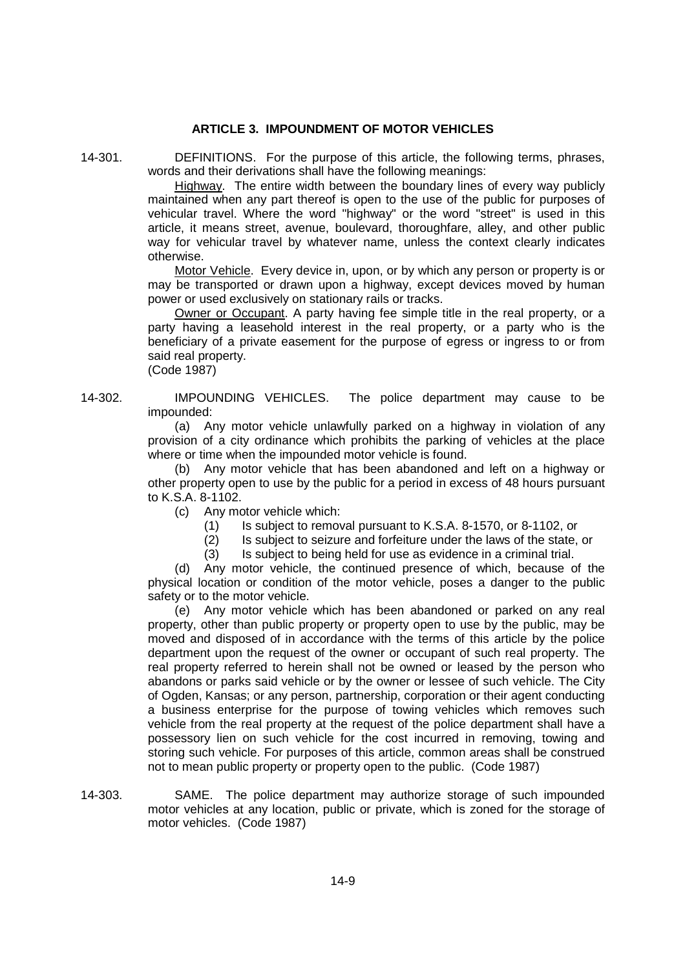### **ARTICLE 3. IMPOUNDMENT OF MOTOR VEHICLES**

14-301. DEFINITIONS. For the purpose of this article, the following terms, phrases, words and their derivations shall have the following meanings:

> Highway. The entire width between the boundary lines of every way publicly maintained when any part thereof is open to the use of the public for purposes of vehicular travel. Where the word "highway" or the word "street" is used in this article, it means street, avenue, boulevard, thoroughfare, alley, and other public way for vehicular travel by whatever name, unless the context clearly indicates otherwise.

> Motor Vehicle. Every device in, upon, or by which any person or property is or may be transported or drawn upon a highway, except devices moved by human power or used exclusively on stationary rails or tracks.

> Owner or Occupant. A party having fee simple title in the real property, or a party having a leasehold interest in the real property, or a party who is the beneficiary of a private easement for the purpose of egress or ingress to or from said real property.

(Code 1987)

14-302. IMPOUNDING VEHICLES. The police department may cause to be impounded:

> (a) Any motor vehicle unlawfully parked on a highway in violation of any provision of a city ordinance which prohibits the parking of vehicles at the place where or time when the impounded motor vehicle is found.

> (b) Any motor vehicle that has been abandoned and left on a highway or other property open to use by the public for a period in excess of 48 hours pursuant to K.S.A. 8-1102.

(c) Any motor vehicle which:

- (1) Is subject to removal pursuant to K.S.A. 8-1570, or 8-1102, or
- (2) Is subject to seizure and forfeiture under the laws of the state, or

(3) Is subject to being held for use as evidence in a criminal trial.

(d) Any motor vehicle, the continued presence of which, because of the physical location or condition of the motor vehicle, poses a danger to the public safety or to the motor vehicle.

(e) Any motor vehicle which has been abandoned or parked on any real property, other than public property or property open to use by the public, may be moved and disposed of in accordance with the terms of this article by the police department upon the request of the owner or occupant of such real property. The real property referred to herein shall not be owned or leased by the person who abandons or parks said vehicle or by the owner or lessee of such vehicle. The City of Ogden, Kansas; or any person, partnership, corporation or their agent conducting a business enterprise for the purpose of towing vehicles which removes such vehicle from the real property at the request of the police department shall have a possessory lien on such vehicle for the cost incurred in removing, towing and storing such vehicle. For purposes of this article, common areas shall be construed not to mean public property or property open to the public. (Code 1987)

14-303. SAME. The police department may authorize storage of such impounded motor vehicles at any location, public or private, which is zoned for the storage of motor vehicles. (Code 1987)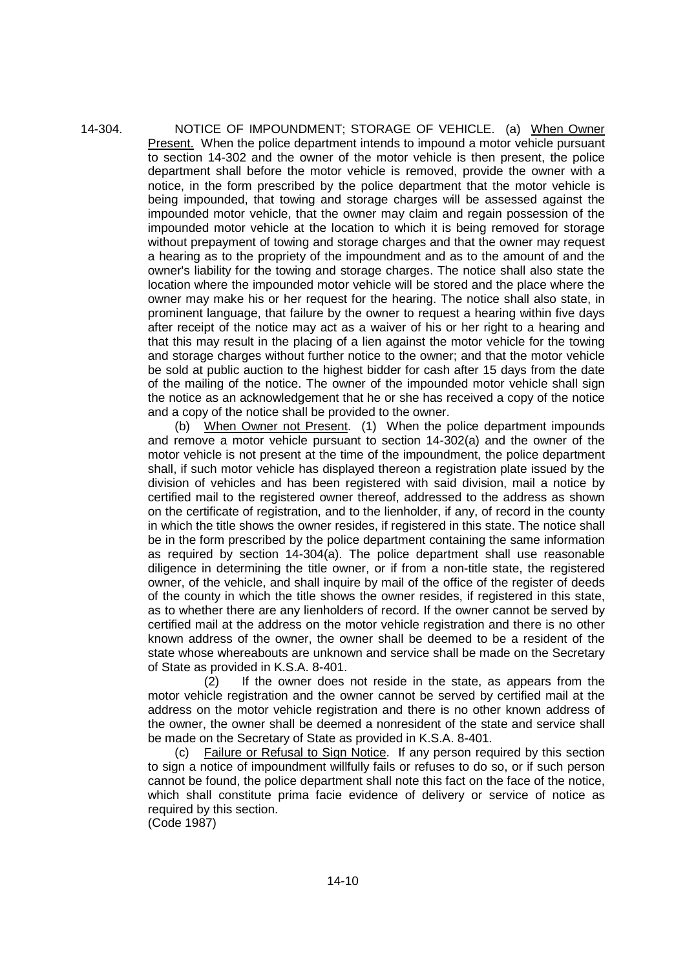14-304. NOTICE OF IMPOUNDMENT; STORAGE OF VEHICLE. (a) When Owner Present. When the police department intends to impound a motor vehicle pursuant to section 14-302 and the owner of the motor vehicle is then present, the police department shall before the motor vehicle is removed, provide the owner with a notice, in the form prescribed by the police department that the motor vehicle is being impounded, that towing and storage charges will be assessed against the impounded motor vehicle, that the owner may claim and regain possession of the impounded motor vehicle at the location to which it is being removed for storage without prepayment of towing and storage charges and that the owner may request a hearing as to the propriety of the impoundment and as to the amount of and the owner's liability for the towing and storage charges. The notice shall also state the location where the impounded motor vehicle will be stored and the place where the owner may make his or her request for the hearing. The notice shall also state, in prominent language, that failure by the owner to request a hearing within five days after receipt of the notice may act as a waiver of his or her right to a hearing and that this may result in the placing of a lien against the motor vehicle for the towing and storage charges without further notice to the owner; and that the motor vehicle be sold at public auction to the highest bidder for cash after 15 days from the date of the mailing of the notice. The owner of the impounded motor vehicle shall sign the notice as an acknowledgement that he or she has received a copy of the notice and a copy of the notice shall be provided to the owner.

> (b) When Owner not Present. (1) When the police department impounds and remove a motor vehicle pursuant to section 14-302(a) and the owner of the motor vehicle is not present at the time of the impoundment, the police department shall, if such motor vehicle has displayed thereon a registration plate issued by the division of vehicles and has been registered with said division, mail a notice by certified mail to the registered owner thereof, addressed to the address as shown on the certificate of registration, and to the lienholder, if any, of record in the county in which the title shows the owner resides, if registered in this state. The notice shall be in the form prescribed by the police department containing the same information as required by section 14-304(a). The police department shall use reasonable diligence in determining the title owner, or if from a non-title state, the registered owner, of the vehicle, and shall inquire by mail of the office of the register of deeds of the county in which the title shows the owner resides, if registered in this state, as to whether there are any lienholders of record. If the owner cannot be served by certified mail at the address on the motor vehicle registration and there is no other known address of the owner, the owner shall be deemed to be a resident of the state whose whereabouts are unknown and service shall be made on the Secretary of State as provided in K.S.A. 8-401.

> (2) If the owner does not reside in the state, as appears from the motor vehicle registration and the owner cannot be served by certified mail at the address on the motor vehicle registration and there is no other known address of the owner, the owner shall be deemed a nonresident of the state and service shall be made on the Secretary of State as provided in K.S.A. 8-401.

> (c) Failure or Refusal to Sign Notice. If any person required by this section to sign a notice of impoundment willfully fails or refuses to do so, or if such person cannot be found, the police department shall note this fact on the face of the notice, which shall constitute prima facie evidence of delivery or service of notice as required by this section.

(Code 1987)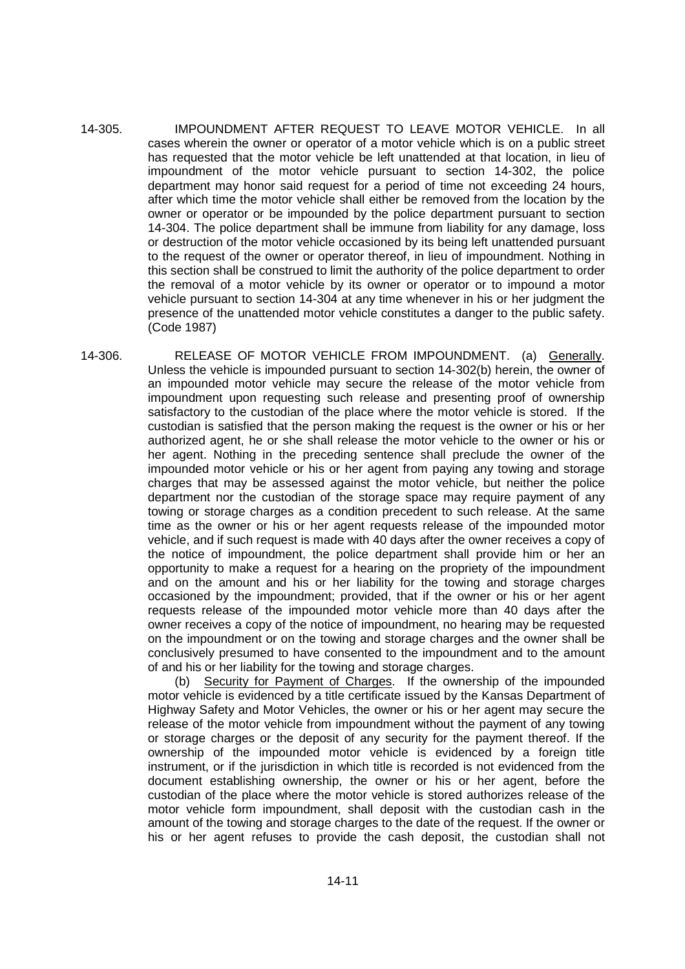- 14-305. IMPOUNDMENT AFTER REQUEST TO LEAVE MOTOR VEHICLE. In all cases wherein the owner or operator of a motor vehicle which is on a public street has requested that the motor vehicle be left unattended at that location, in lieu of impoundment of the motor vehicle pursuant to section 14-302, the police department may honor said request for a period of time not exceeding 24 hours, after which time the motor vehicle shall either be removed from the location by the owner or operator or be impounded by the police department pursuant to section 14-304. The police department shall be immune from liability for any damage, loss or destruction of the motor vehicle occasioned by its being left unattended pursuant to the request of the owner or operator thereof, in lieu of impoundment. Nothing in this section shall be construed to limit the authority of the police department to order the removal of a motor vehicle by its owner or operator or to impound a motor vehicle pursuant to section 14-304 at any time whenever in his or her judgment the presence of the unattended motor vehicle constitutes a danger to the public safety. (Code 1987)
- 14-306. RELEASE OF MOTOR VEHICLE FROM IMPOUNDMENT. (a) Generally. Unless the vehicle is impounded pursuant to section 14-302(b) herein, the owner of an impounded motor vehicle may secure the release of the motor vehicle from impoundment upon requesting such release and presenting proof of ownership satisfactory to the custodian of the place where the motor vehicle is stored. If the custodian is satisfied that the person making the request is the owner or his or her authorized agent, he or she shall release the motor vehicle to the owner or his or her agent. Nothing in the preceding sentence shall preclude the owner of the impounded motor vehicle or his or her agent from paying any towing and storage charges that may be assessed against the motor vehicle, but neither the police department nor the custodian of the storage space may require payment of any towing or storage charges as a condition precedent to such release. At the same time as the owner or his or her agent requests release of the impounded motor vehicle, and if such request is made with 40 days after the owner receives a copy of the notice of impoundment, the police department shall provide him or her an opportunity to make a request for a hearing on the propriety of the impoundment and on the amount and his or her liability for the towing and storage charges occasioned by the impoundment; provided, that if the owner or his or her agent requests release of the impounded motor vehicle more than 40 days after the owner receives a copy of the notice of impoundment, no hearing may be requested on the impoundment or on the towing and storage charges and the owner shall be conclusively presumed to have consented to the impoundment and to the amount of and his or her liability for the towing and storage charges.

(b) Security for Payment of Charges. If the ownership of the impounded motor vehicle is evidenced by a title certificate issued by the Kansas Department of Highway Safety and Motor Vehicles, the owner or his or her agent may secure the release of the motor vehicle from impoundment without the payment of any towing or storage charges or the deposit of any security for the payment thereof. If the ownership of the impounded motor vehicle is evidenced by a foreign title instrument, or if the jurisdiction in which title is recorded is not evidenced from the document establishing ownership, the owner or his or her agent, before the custodian of the place where the motor vehicle is stored authorizes release of the motor vehicle form impoundment, shall deposit with the custodian cash in the amount of the towing and storage charges to the date of the request. If the owner or his or her agent refuses to provide the cash deposit, the custodian shall not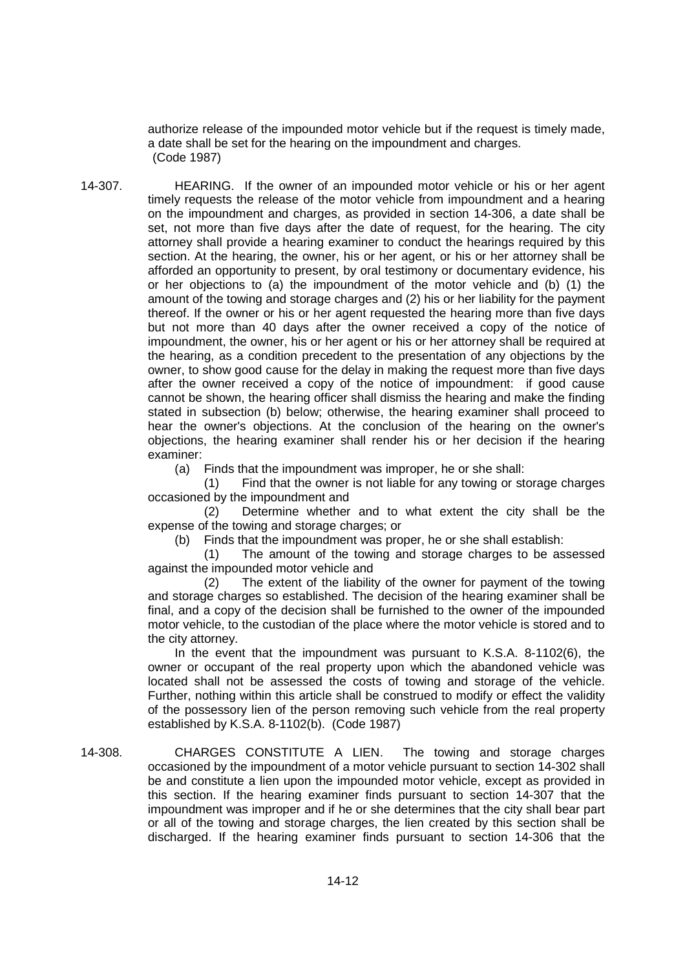authorize release of the impounded motor vehicle but if the request is timely made, a date shall be set for the hearing on the impoundment and charges. (Code 1987)

14-307. HEARING. If the owner of an impounded motor vehicle or his or her agent timely requests the release of the motor vehicle from impoundment and a hearing on the impoundment and charges, as provided in section 14-306, a date shall be set, not more than five days after the date of request, for the hearing. The city attorney shall provide a hearing examiner to conduct the hearings required by this section. At the hearing, the owner, his or her agent, or his or her attorney shall be afforded an opportunity to present, by oral testimony or documentary evidence, his or her objections to (a) the impoundment of the motor vehicle and (b) (1) the amount of the towing and storage charges and (2) his or her liability for the payment thereof. If the owner or his or her agent requested the hearing more than five days but not more than 40 days after the owner received a copy of the notice of impoundment, the owner, his or her agent or his or her attorney shall be required at the hearing, as a condition precedent to the presentation of any objections by the owner, to show good cause for the delay in making the request more than five days after the owner received a copy of the notice of impoundment: if good cause cannot be shown, the hearing officer shall dismiss the hearing and make the finding stated in subsection (b) below; otherwise, the hearing examiner shall proceed to hear the owner's objections. At the conclusion of the hearing on the owner's objections, the hearing examiner shall render his or her decision if the hearing examiner:

(a) Finds that the impoundment was improper, he or she shall:

(1) Find that the owner is not liable for any towing or storage charges occasioned by the impoundment and

(2) Determine whether and to what extent the city shall be the expense of the towing and storage charges; or

(b) Finds that the impoundment was proper, he or she shall establish:

(1) The amount of the towing and storage charges to be assessed against the impounded motor vehicle and

(2) The extent of the liability of the owner for payment of the towing and storage charges so established. The decision of the hearing examiner shall be final, and a copy of the decision shall be furnished to the owner of the impounded motor vehicle, to the custodian of the place where the motor vehicle is stored and to the city attorney.

In the event that the impoundment was pursuant to K.S.A. 8-1102(6), the owner or occupant of the real property upon which the abandoned vehicle was located shall not be assessed the costs of towing and storage of the vehicle. Further, nothing within this article shall be construed to modify or effect the validity of the possessory lien of the person removing such vehicle from the real property established by K.S.A. 8-1102(b). (Code 1987)

14-308. CHARGES CONSTITUTE A LIEN. The towing and storage charges occasioned by the impoundment of a motor vehicle pursuant to section 14-302 shall be and constitute a lien upon the impounded motor vehicle, except as provided in this section. If the hearing examiner finds pursuant to section 14-307 that the impoundment was improper and if he or she determines that the city shall bear part or all of the towing and storage charges, the lien created by this section shall be discharged. If the hearing examiner finds pursuant to section 14-306 that the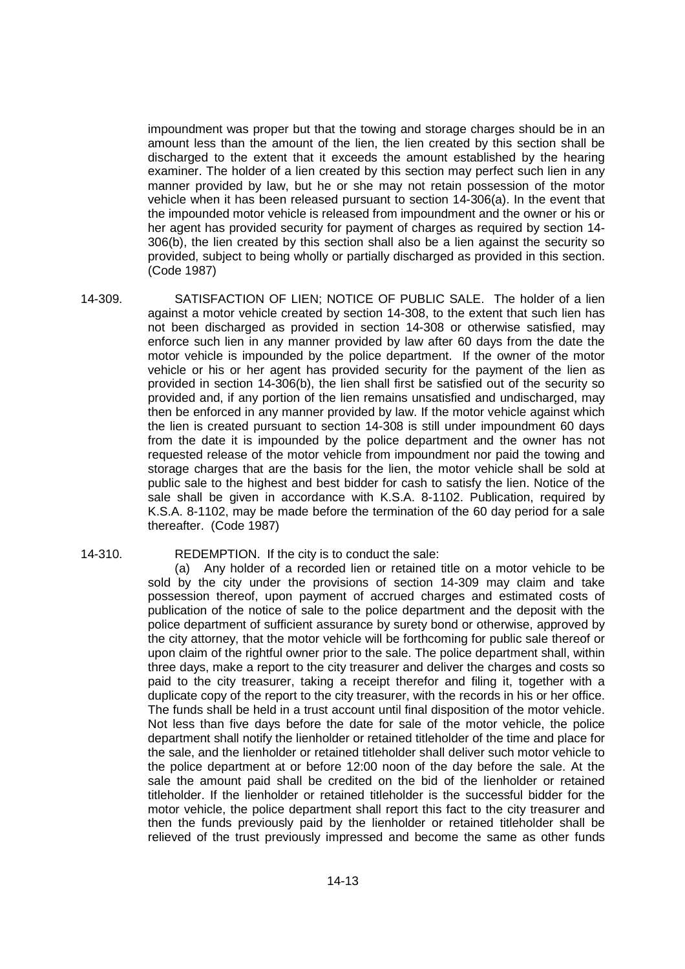impoundment was proper but that the towing and storage charges should be in an amount less than the amount of the lien, the lien created by this section shall be discharged to the extent that it exceeds the amount established by the hearing examiner. The holder of a lien created by this section may perfect such lien in any manner provided by law, but he or she may not retain possession of the motor vehicle when it has been released pursuant to section 14-306(a). In the event that the impounded motor vehicle is released from impoundment and the owner or his or her agent has provided security for payment of charges as required by section 14- 306(b), the lien created by this section shall also be a lien against the security so provided, subject to being wholly or partially discharged as provided in this section. (Code 1987)

- 14-309. SATISFACTION OF LIEN; NOTICE OF PUBLIC SALE. The holder of a lien against a motor vehicle created by section 14-308, to the extent that such lien has not been discharged as provided in section 14-308 or otherwise satisfied, may enforce such lien in any manner provided by law after 60 days from the date the motor vehicle is impounded by the police department. If the owner of the motor vehicle or his or her agent has provided security for the payment of the lien as provided in section 14-306(b), the lien shall first be satisfied out of the security so provided and, if any portion of the lien remains unsatisfied and undischarged, may then be enforced in any manner provided by law. If the motor vehicle against which the lien is created pursuant to section 14-308 is still under impoundment 60 days from the date it is impounded by the police department and the owner has not requested release of the motor vehicle from impoundment nor paid the towing and storage charges that are the basis for the lien, the motor vehicle shall be sold at public sale to the highest and best bidder for cash to satisfy the lien. Notice of the sale shall be given in accordance with K.S.A. 8-1102. Publication, required by K.S.A. 8-1102, may be made before the termination of the 60 day period for a sale thereafter. (Code 1987)
- 

#### 14-310. REDEMPTION. If the city is to conduct the sale:

(a) Any holder of a recorded lien or retained title on a motor vehicle to be sold by the city under the provisions of section 14-309 may claim and take possession thereof, upon payment of accrued charges and estimated costs of publication of the notice of sale to the police department and the deposit with the police department of sufficient assurance by surety bond or otherwise, approved by the city attorney, that the motor vehicle will be forthcoming for public sale thereof or upon claim of the rightful owner prior to the sale. The police department shall, within three days, make a report to the city treasurer and deliver the charges and costs so paid to the city treasurer, taking a receipt therefor and filing it, together with a duplicate copy of the report to the city treasurer, with the records in his or her office. The funds shall be held in a trust account until final disposition of the motor vehicle. Not less than five days before the date for sale of the motor vehicle, the police department shall notify the lienholder or retained titleholder of the time and place for the sale, and the lienholder or retained titleholder shall deliver such motor vehicle to the police department at or before 12:00 noon of the day before the sale. At the sale the amount paid shall be credited on the bid of the lienholder or retained titleholder. If the lienholder or retained titleholder is the successful bidder for the motor vehicle, the police department shall report this fact to the city treasurer and then the funds previously paid by the lienholder or retained titleholder shall be relieved of the trust previously impressed and become the same as other funds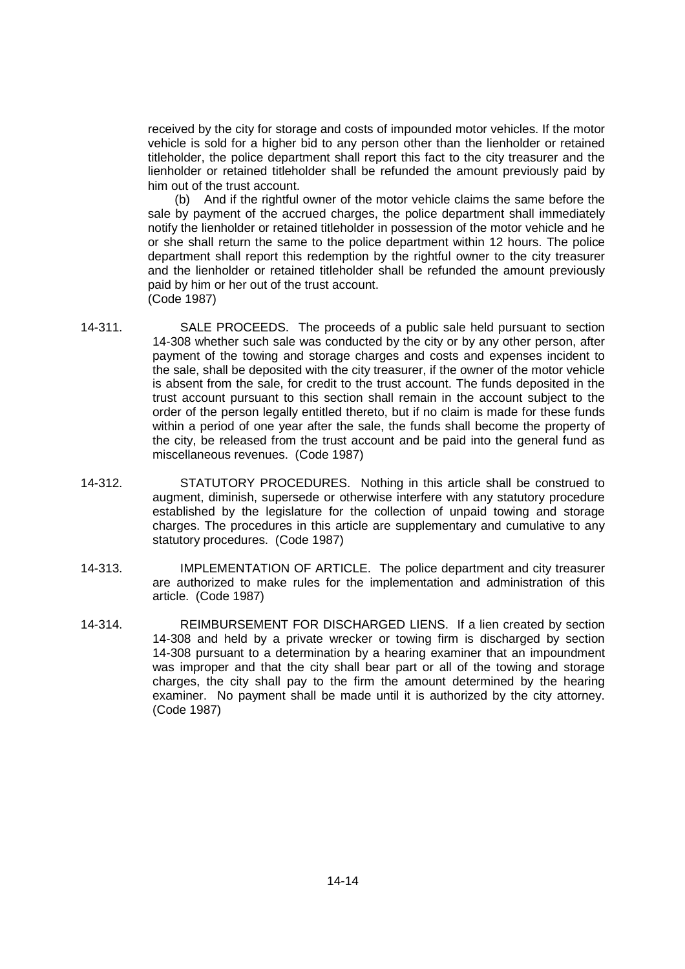received by the city for storage and costs of impounded motor vehicles. If the motor vehicle is sold for a higher bid to any person other than the lienholder or retained titleholder, the police department shall report this fact to the city treasurer and the lienholder or retained titleholder shall be refunded the amount previously paid by him out of the trust account.

(b) And if the rightful owner of the motor vehicle claims the same before the sale by payment of the accrued charges, the police department shall immediately notify the lienholder or retained titleholder in possession of the motor vehicle and he or she shall return the same to the police department within 12 hours. The police department shall report this redemption by the rightful owner to the city treasurer and the lienholder or retained titleholder shall be refunded the amount previously paid by him or her out of the trust account. (Code 1987)

- 14-311. SALE PROCEEDS. The proceeds of a public sale held pursuant to section 14-308 whether such sale was conducted by the city or by any other person, after payment of the towing and storage charges and costs and expenses incident to the sale, shall be deposited with the city treasurer, if the owner of the motor vehicle is absent from the sale, for credit to the trust account. The funds deposited in the trust account pursuant to this section shall remain in the account subject to the order of the person legally entitled thereto, but if no claim is made for these funds within a period of one year after the sale, the funds shall become the property of the city, be released from the trust account and be paid into the general fund as miscellaneous revenues. (Code 1987)
- 14-312. STATUTORY PROCEDURES. Nothing in this article shall be construed to augment, diminish, supersede or otherwise interfere with any statutory procedure established by the legislature for the collection of unpaid towing and storage charges. The procedures in this article are supplementary and cumulative to any statutory procedures. (Code 1987)
- 14-313. IMPLEMENTATION OF ARTICLE. The police department and city treasurer are authorized to make rules for the implementation and administration of this article. (Code 1987)
- 14-314. REIMBURSEMENT FOR DISCHARGED LIENS. If a lien created by section 14-308 and held by a private wrecker or towing firm is discharged by section 14-308 pursuant to a determination by a hearing examiner that an impoundment was improper and that the city shall bear part or all of the towing and storage charges, the city shall pay to the firm the amount determined by the hearing examiner. No payment shall be made until it is authorized by the city attorney. (Code 1987)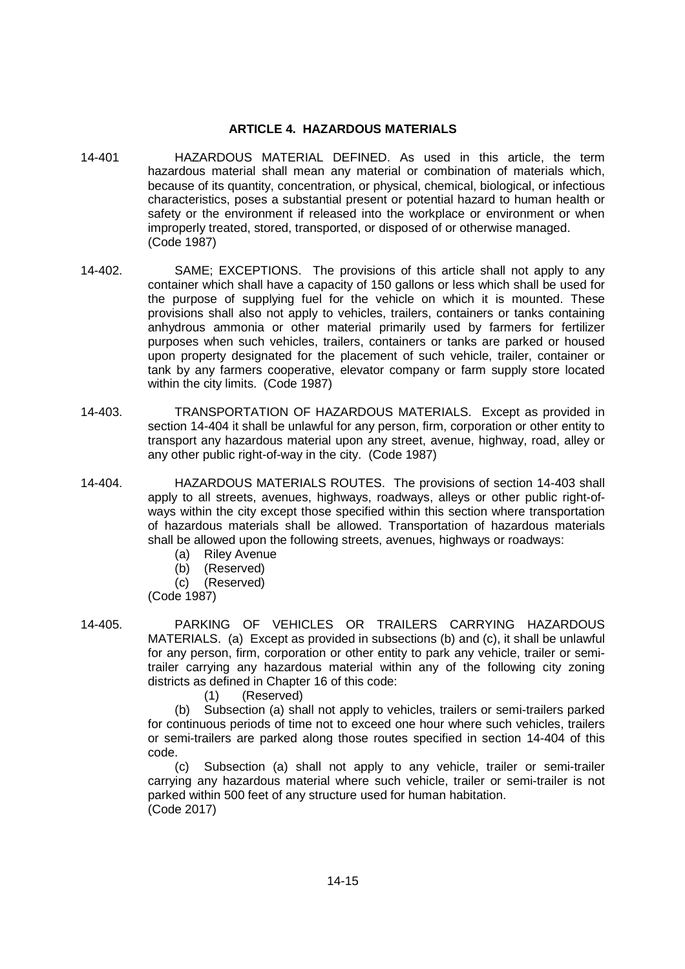### **ARTICLE 4. HAZARDOUS MATERIALS**

- 14-401 HAZARDOUS MATERIAL DEFINED. As used in this article, the term hazardous material shall mean any material or combination of materials which, because of its quantity, concentration, or physical, chemical, biological, or infectious characteristics, poses a substantial present or potential hazard to human health or safety or the environment if released into the workplace or environment or when improperly treated, stored, transported, or disposed of or otherwise managed. (Code 1987)
- 14-402. SAME; EXCEPTIONS. The provisions of this article shall not apply to any container which shall have a capacity of 150 gallons or less which shall be used for the purpose of supplying fuel for the vehicle on which it is mounted. These provisions shall also not apply to vehicles, trailers, containers or tanks containing anhydrous ammonia or other material primarily used by farmers for fertilizer purposes when such vehicles, trailers, containers or tanks are parked or housed upon property designated for the placement of such vehicle, trailer, container or tank by any farmers cooperative, elevator company or farm supply store located within the city limits. (Code 1987)
- 14-403. TRANSPORTATION OF HAZARDOUS MATERIALS. Except as provided in section 14-404 it shall be unlawful for any person, firm, corporation or other entity to transport any hazardous material upon any street, avenue, highway, road, alley or any other public right-of-way in the city. (Code 1987)
- 14-404. HAZARDOUS MATERIALS ROUTES. The provisions of section 14-403 shall apply to all streets, avenues, highways, roadways, alleys or other public right-ofways within the city except those specified within this section where transportation of hazardous materials shall be allowed. Transportation of hazardous materials shall be allowed upon the following streets, avenues, highways or roadways:
	- (a) Riley Avenue
	- (b) (Reserved)
	- (c) (Reserved)

(Code 1987)

14-405. PARKING OF VEHICLES OR TRAILERS CARRYING HAZARDOUS MATERIALS. (a) Except as provided in subsections (b) and (c), it shall be unlawful for any person, firm, corporation or other entity to park any vehicle, trailer or semitrailer carrying any hazardous material within any of the following city zoning districts as defined in Chapter 16 of this code:

(1) (Reserved)

(b) Subsection (a) shall not apply to vehicles, trailers or semi-trailers parked for continuous periods of time not to exceed one hour where such vehicles, trailers or semi-trailers are parked along those routes specified in section 14-404 of this code.

(c) Subsection (a) shall not apply to any vehicle, trailer or semi-trailer carrying any hazardous material where such vehicle, trailer or semi-trailer is not parked within 500 feet of any structure used for human habitation. (Code 2017)